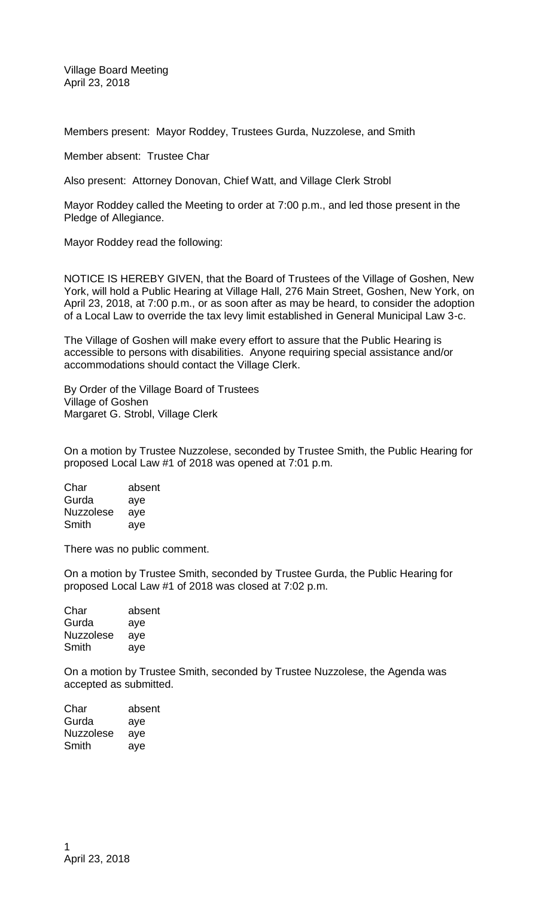Village Board Meeting April 23, 2018

Members present: Mayor Roddey, Trustees Gurda, Nuzzolese, and Smith

Member absent: Trustee Char

Also present: Attorney Donovan, Chief Watt, and Village Clerk Strobl

Mayor Roddey called the Meeting to order at 7:00 p.m., and led those present in the Pledge of Allegiance.

Mayor Roddey read the following:

NOTICE IS HEREBY GIVEN, that the Board of Trustees of the Village of Goshen, New York, will hold a Public Hearing at Village Hall, 276 Main Street, Goshen, New York, on April 23, 2018, at 7:00 p.m., or as soon after as may be heard, to consider the adoption of a Local Law to override the tax levy limit established in General Municipal Law 3-c.

The Village of Goshen will make every effort to assure that the Public Hearing is accessible to persons with disabilities. Anyone requiring special assistance and/or accommodations should contact the Village Clerk.

By Order of the Village Board of Trustees Village of Goshen Margaret G. Strobl, Village Clerk

On a motion by Trustee Nuzzolese, seconded by Trustee Smith, the Public Hearing for proposed Local Law #1 of 2018 was opened at 7:01 p.m.

Char absent Gurda aye Nuzzolese aye Smith aye

There was no public comment.

On a motion by Trustee Smith, seconded by Trustee Gurda, the Public Hearing for proposed Local Law #1 of 2018 was closed at 7:02 p.m.

Char absent Gurda aye Nuzzolese aye Smith aye

On a motion by Trustee Smith, seconded by Trustee Nuzzolese, the Agenda was accepted as submitted.

| Char             | absent |
|------------------|--------|
| Gurda            | aye    |
| <b>Nuzzolese</b> | aye    |
| Smith            | aye    |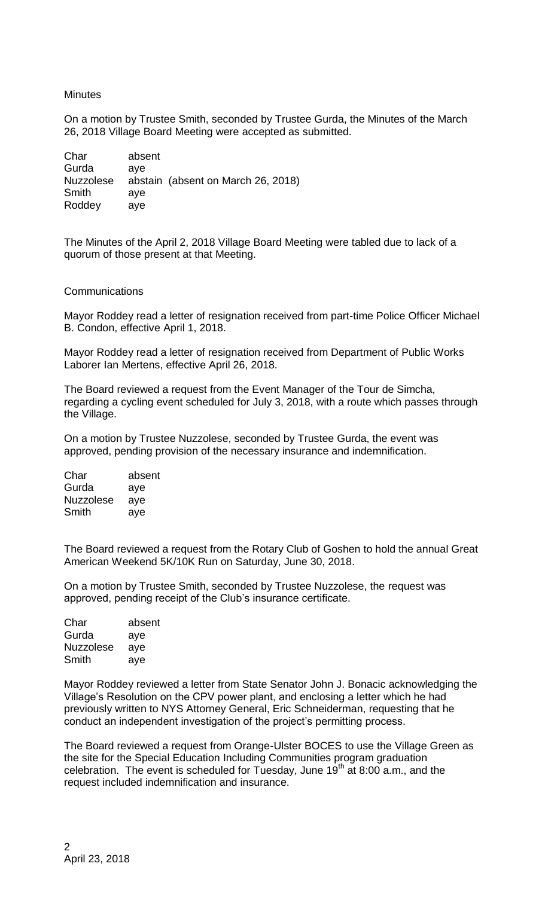### **Minutes**

On a motion by Trustee Smith, seconded by Trustee Gurda, the Minutes of the March 26, 2018 Village Board Meeting were accepted as submitted.

| Char             | absent |                                    |
|------------------|--------|------------------------------------|
| Gurda            | ave    |                                    |
| <b>Nuzzolese</b> |        | abstain (absent on March 26, 2018) |
| Smith            | ave    |                                    |
| Roddey           | ave    |                                    |

The Minutes of the April 2, 2018 Village Board Meeting were tabled due to lack of a quorum of those present at that Meeting.

### **Communications**

Mayor Roddey read a letter of resignation received from part-time Police Officer Michael B. Condon, effective April 1, 2018.

Mayor Roddey read a letter of resignation received from Department of Public Works Laborer Ian Mertens, effective April 26, 2018.

The Board reviewed a request from the Event Manager of the Tour de Simcha, regarding a cycling event scheduled for July 3, 2018, with a route which passes through the Village.

On a motion by Trustee Nuzzolese, seconded by Trustee Gurda, the event was approved, pending provision of the necessary insurance and indemnification.

Char absent Gurda aye Nuzzolese aye Smith aye

The Board reviewed a request from the Rotary Club of Goshen to hold the annual Great American Weekend 5K/10K Run on Saturday, June 30, 2018.

On a motion by Trustee Smith, seconded by Trustee Nuzzolese, the request was approved, pending receipt of the Club's insurance certificate.

| Char             | absent |
|------------------|--------|
| Gurda            | aye    |
| <b>Nuzzolese</b> | aye    |
| Smith            | aye    |

Mayor Roddey reviewed a letter from State Senator John J. Bonacic acknowledging the Village's Resolution on the CPV power plant, and enclosing a letter which he had previously written to NYS Attorney General, Eric Schneiderman, requesting that he conduct an independent investigation of the project's permitting process.

The Board reviewed a request from Orange-Ulster BOCES to use the Village Green as the site for the Special Education Including Communities program graduation celebration. The event is scheduled for Tuesday, June  $19<sup>th</sup>$  at 8:00 a.m., and the request included indemnification and insurance.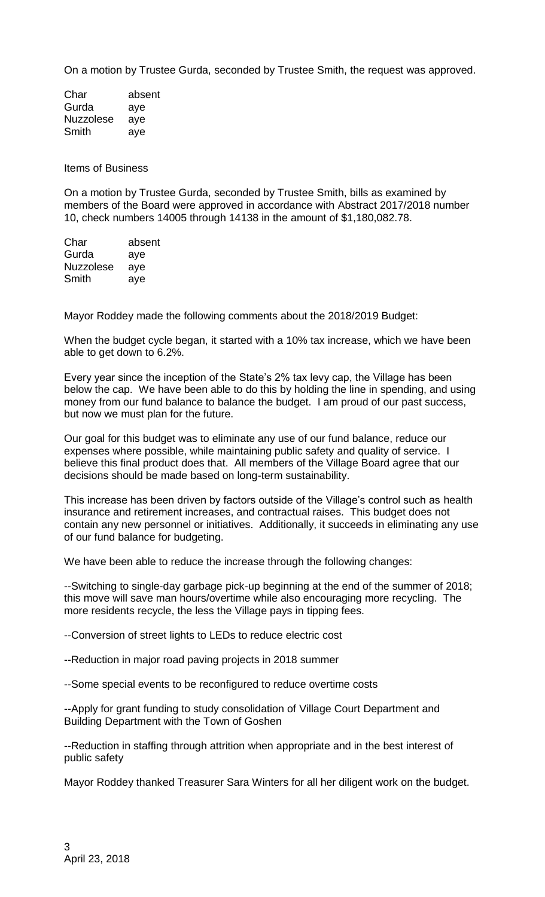On a motion by Trustee Gurda, seconded by Trustee Smith, the request was approved.

| Char             | absent |
|------------------|--------|
| Gurda            | aye    |
| <b>Nuzzolese</b> | aye    |
| Smith            | ave    |

Items of Business

On a motion by Trustee Gurda, seconded by Trustee Smith, bills as examined by members of the Board were approved in accordance with Abstract 2017/2018 number 10, check numbers 14005 through 14138 in the amount of \$1,180,082.78.

| absent |
|--------|
| aye    |
| aye    |
| aye    |
|        |

Mayor Roddey made the following comments about the 2018/2019 Budget:

When the budget cycle began, it started with a 10% tax increase, which we have been able to get down to 6.2%.

Every year since the inception of the State's 2% tax levy cap, the Village has been below the cap. We have been able to do this by holding the line in spending, and using money from our fund balance to balance the budget. I am proud of our past success, but now we must plan for the future.

Our goal for this budget was to eliminate any use of our fund balance, reduce our expenses where possible, while maintaining public safety and quality of service. I believe this final product does that. All members of the Village Board agree that our decisions should be made based on long-term sustainability.

This increase has been driven by factors outside of the Village's control such as health insurance and retirement increases, and contractual raises. This budget does not contain any new personnel or initiatives. Additionally, it succeeds in eliminating any use of our fund balance for budgeting.

We have been able to reduce the increase through the following changes:

--Switching to single-day garbage pick-up beginning at the end of the summer of 2018; this move will save man hours/overtime while also encouraging more recycling. The more residents recycle, the less the Village pays in tipping fees.

--Conversion of street lights to LEDs to reduce electric cost

--Reduction in major road paving projects in 2018 summer

--Some special events to be reconfigured to reduce overtime costs

--Apply for grant funding to study consolidation of Village Court Department and Building Department with the Town of Goshen

--Reduction in staffing through attrition when appropriate and in the best interest of public safety

Mayor Roddey thanked Treasurer Sara Winters for all her diligent work on the budget.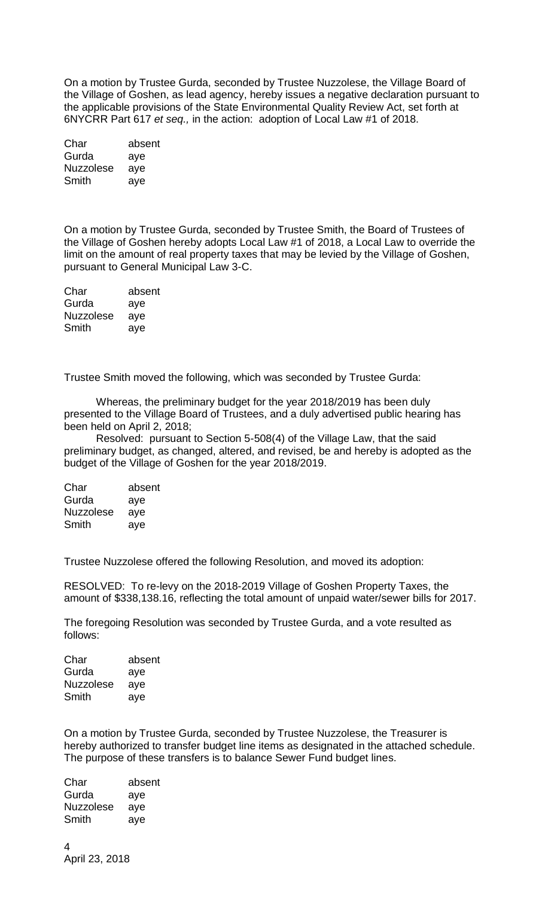On a motion by Trustee Gurda, seconded by Trustee Nuzzolese, the Village Board of the Village of Goshen, as lead agency, hereby issues a negative declaration pursuant to the applicable provisions of the State Environmental Quality Review Act, set forth at 6NYCRR Part 617 *et seq.,* in the action: adoption of Local Law #1 of 2018.

| Char             | absent |
|------------------|--------|
| Gurda            | aye    |
| <b>Nuzzolese</b> | aye    |
| Smith            | aye    |

On a motion by Trustee Gurda, seconded by Trustee Smith, the Board of Trustees of the Village of Goshen hereby adopts Local Law #1 of 2018, a Local Law to override the limit on the amount of real property taxes that may be levied by the Village of Goshen, pursuant to General Municipal Law 3-C.

| Char             | absent |
|------------------|--------|
| Gurda            | aye    |
| <b>Nuzzolese</b> | aye    |
| Smith            | aye    |

Trustee Smith moved the following, which was seconded by Trustee Gurda:

Whereas, the preliminary budget for the year 2018/2019 has been duly presented to the Village Board of Trustees, and a duly advertised public hearing has been held on April 2, 2018;

Resolved: pursuant to Section 5-508(4) of the Village Law, that the said preliminary budget, as changed, altered, and revised, be and hereby is adopted as the budget of the Village of Goshen for the year 2018/2019.

| Char             | absent |
|------------------|--------|
| Gurda            | aye    |
| <b>Nuzzolese</b> | aye    |
| Smith            | aye    |

Trustee Nuzzolese offered the following Resolution, and moved its adoption:

RESOLVED: To re-levy on the 2018-2019 Village of Goshen Property Taxes, the amount of \$338,138.16, reflecting the total amount of unpaid water/sewer bills for 2017.

The foregoing Resolution was seconded by Trustee Gurda, and a vote resulted as follows:

| Char             | absent |
|------------------|--------|
| Gurda            | aye    |
| <b>Nuzzolese</b> | aye    |
| Smith            | aye    |

On a motion by Trustee Gurda, seconded by Trustee Nuzzolese, the Treasurer is hereby authorized to transfer budget line items as designated in the attached schedule. The purpose of these transfers is to balance Sewer Fund budget lines.

| Char             | absent |
|------------------|--------|
| Gurda            | aye    |
| <b>Nuzzolese</b> | aye    |
| Smith            | ave    |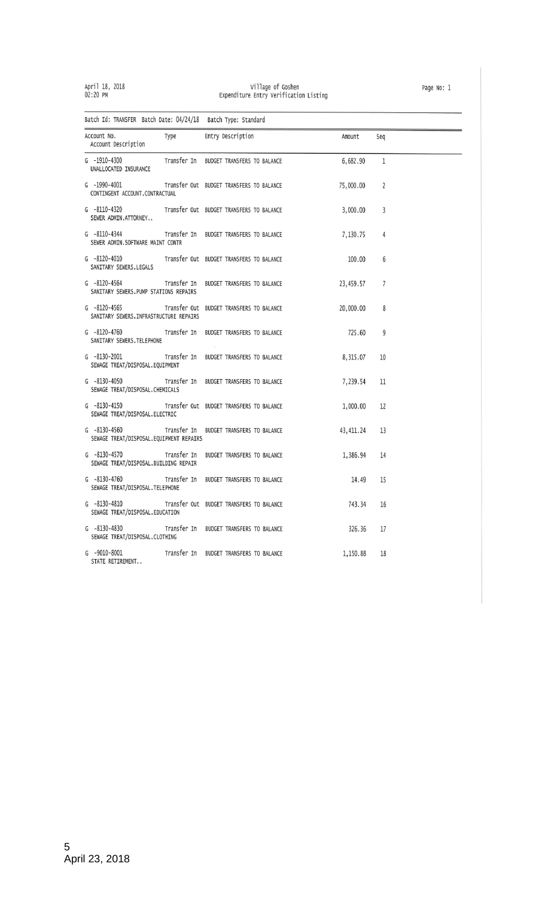# April 18, 2018<br>02:20 PM

# village of Goshen<br>Expenditure Entry Verification Listing

| Batch Id: TRANSFER Batch Date: 04/24/18 Batch Type: Standard                    |                                          |           |              |
|---------------------------------------------------------------------------------|------------------------------------------|-----------|--------------|
| Account No.<br>Type<br>Account Description                                      | Entry Description                        | Amount    | Seq          |
| G -1910-4300<br>UNALLOCATED INSURANCE                                           | Transfer In BUDGET TRANSFERS TO BALANCE  | 6,682.90  | $\mathbf{1}$ |
| $G - 1990 - 4001$<br>CONTINGENT ACCOUNT.CONTRACTUAL                             | Transfer Out BUDGET TRANSFERS TO BALANCE | 75,000.00 | 2            |
| $G - 8110 - 4320$<br>SEWER ADMIN.ATTORNEY                                       | Transfer Out BUDGET TRANSFERS TO BALANCE | 3,000.00  | 3            |
| $G - 8110 - 4344$<br>SEWER ADMIN.SOFTWARE MAINT CONTR                           | Transfer In BUDGET TRANSFERS TO BALANCE  | 7,130.75  | 4            |
| G -8120-4010 Transfer Out BUDGET TRANSFERS TO BALANCE<br>SANITARY SEWERS.LEGALS |                                          | 100.00    | 6            |
| $G - 8120 - 4564$<br>SANITARY SEWERS. PUMP STATIONS REPAIRS                     | Transfer In BUDGET TRANSFERS TO BALANCE  | 23,459.57 | 7            |
| $G - 8120 - 4565$<br>SANITARY SEWERS. INFRASTRUCTURE REPAIRS                    | Transfer Out BUDGET TRANSFERS TO BALANCE | 20,000.00 | 8            |
| $G - 8120 - 4760$<br>SANITARY SEWERS. TELEPHONE                                 | Transfer In BUDGET TRANSFERS TO BALANCE  | 725.60    | 9            |
| $G - 8130 - 2001$<br>SEWAGE TREAT/DISPOSAL.EQUIPMENT                            | Transfer In BUDGET TRANSFERS TO BALANCE  | 8,315.07  | 10           |
| $G - 8130 - 4050$<br>SEWAGE TREAT/DISPOSAL.CHEMICALS                            | Transfer In BUDGET TRANSFERS TO BALANCE  | 7,239.54  | 11           |
| $G - 8130 - 4150$<br>SEWAGE TREAT/DISPOSAL.ELECTRIC                             | Transfer Out BUDGET TRANSFERS TO BALANCE | 1,000.00  | 12           |
| $G - 8130 - 4560$<br>SEWAGE TREAT/DISPOSAL.EQUIPMENT REPAIRS                    | Transfer In BUDGET TRANSFERS TO BALANCE  | 43,411.24 | 13           |
| $G - 8130 - 4570$<br>SEWAGE TREAT/DISPOSAL.BUILDING REPAIR                      | Transfer In BUDGET TRANSFERS TO BALANCE  | 1,386.94  | 14           |
| $G - 8130 - 4760$<br>SEWAGE TREAT/DISPOSAL. TELEPHONE                           | Transfer In BUDGET TRANSFERS TO BALANCE  | 14.49     | 15           |
| $G - 8130 - 4810$<br>SEWAGE TREAT/DISPOSAL.EDUCATION                            | Transfer Out BUDGET TRANSFERS TO BALANCE | 743.34    | 16           |
| $G - 8130 - 4830$<br>SEWAGE TREAT/DISPOSAL.CLOTHING                             | Transfer In BUDGET TRANSFERS TO BALANCE  | 326.36    | 17           |
| $G - 9010 - 8001$<br>STATE RETIREMENT                                           | Transfer In BUDGET TRANSFERS TO BALANCE  | 1,150.88  | 18           |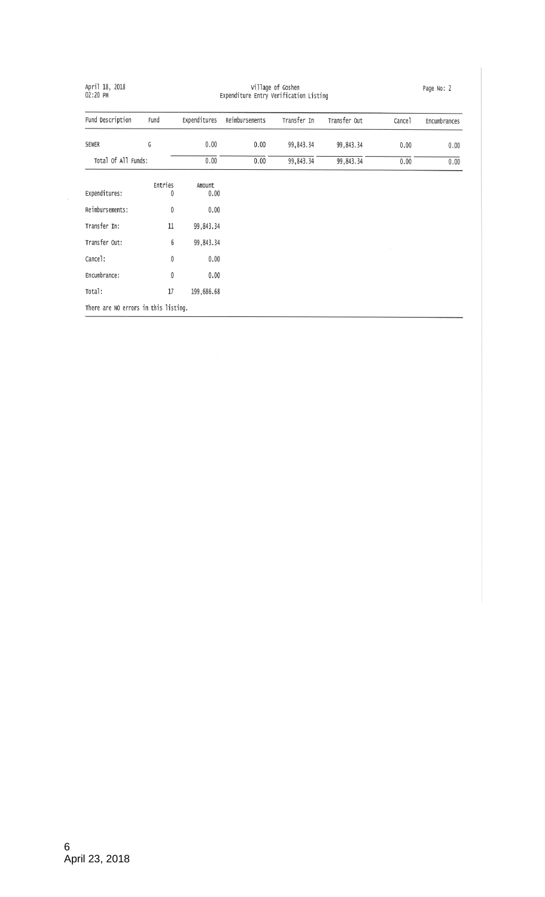| April 18, 2018<br>02:20 PM           | Village of Goshen<br>Expenditure Entry Verification Listing |                |                |             | Page No: 2   |        |              |
|--------------------------------------|-------------------------------------------------------------|----------------|----------------|-------------|--------------|--------|--------------|
| Fund Description                     | Fund                                                        | Expenditures   | Reimbursements | Transfer In | Transfer Out | Cancel | Encumbrances |
| SEWER                                | G                                                           | 0.00           | 0.00           | 99,843.34   | 99,843.34    | 0.00   | 0.00         |
| Total Of All Funds:                  |                                                             | 0.00           | 0.00           | 99,843.34   | 99,843.34    | 0.00   | 0.00         |
| Expenditures:                        | Entries<br>0                                                | Amount<br>0.00 |                |             |              |        |              |
| Reimbursements:                      | 0                                                           | 0.00           |                |             |              |        |              |
| Transfer In:                         | 11                                                          | 99,843.34      |                |             |              |        |              |
| Transfer Out:                        | 6                                                           | 99,843.34      |                |             |              |        |              |
| Cance]:                              | $\mathbf 0$                                                 | 0.00           |                |             |              |        |              |
| Encumbrance:                         | 0                                                           | 0.00           |                |             |              |        |              |
| Total:                               | 17                                                          | 199,686.68     |                |             |              |        |              |
| There are NO errors in this listing. |                                                             |                |                |             |              |        |              |

 $\bar{\nu}$